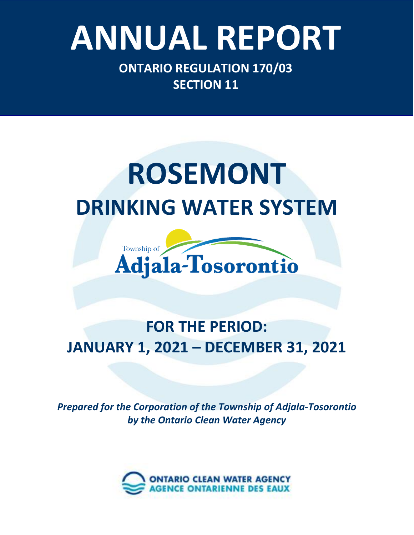# Ontario Clean Water Agency – *Minesing Well Supply System* **ANNUAL REPORT**

**ONTARIO REGULATION 170/03 SECTION 11**

## **ROSEMONT DRINKING WATER SYSTEM**



### **FOR THE PERIOD: JANUARY 1, 2021 – DECEMBER 31, 2021**

*Prepared for the Corporation of the Township of Adjala-Tosorontio by the Ontario Clean Water Agency*

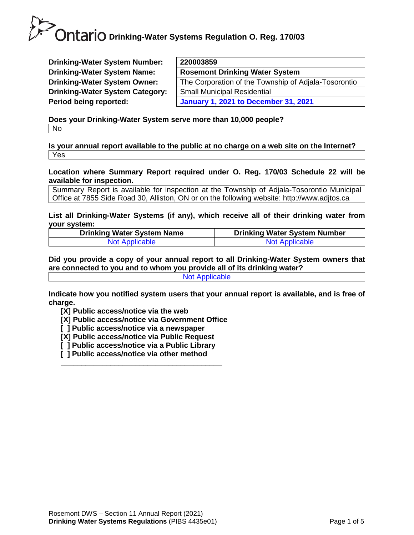**Drinking-Water System Number: Drinking-Water System Name: Drinking-Water System Owner: Drinking-Water System Category: Period being reported:** 

| 220003859                                            |
|------------------------------------------------------|
| <b>Rosemont Drinking Water System</b>                |
| The Corporation of the Township of Adjala-Tosorontio |
| <b>Small Municipal Residential</b>                   |
| <b>January 1, 2021 to December 31, 2021</b>          |
|                                                      |

**Does your Drinking-Water System serve more than 10,000 people?**  No

**Is your annual report available to the public at no charge on a web site on the Internet?**  Yes

**Location where Summary Report required under O. Reg. 170/03 Schedule 22 will be available for inspection.** 

Summary Report is available for inspection at the Township of Adjala-Tosorontio Municipal Office at 7855 Side Road 30, Alliston, ON or on the following website: http://www.adjtos.ca

**List all Drinking-Water Systems (if any), which receive all of their drinking water from your system:**

| <b>Drinking Water System Name</b> | <b>Drinking Water System Number</b> |
|-----------------------------------|-------------------------------------|
| <b>Not Applicable</b>             | <b>Not Applicable</b>               |

**Did you provide a copy of your annual report to all Drinking-Water System owners that are connected to you and to whom you provide all of its drinking water?**  Not Applicable

**Indicate how you notified system users that your annual report is available, and is free of charge.** 

**[X] Public access/notice via the web** 

**[X] Public access/notice via Government Office**

- **[ ] Public access/notice via a newspaper**
- **[X] Public access/notice via Public Request**
- **[ ] Public access/notice via a Public Library**

**\_\_\_\_\_\_\_\_\_\_\_\_\_\_\_\_\_\_\_\_\_\_\_\_\_\_\_\_\_\_\_\_\_\_\_\_\_\_\_**

**[ ] Public access/notice via other method**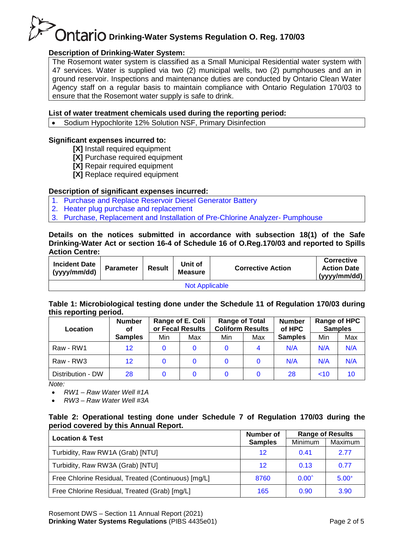#### **Description of Drinking-Water System:**

The Rosemont water system is classified as a Small Municipal Residential water system with 47 services. Water is supplied via two (2) municipal wells, two (2) pumphouses and an in ground reservoir. Inspections and maintenance duties are conducted by Ontario Clean Water Agency staff on a regular basis to maintain compliance with Ontario Regulation 170/03 to ensure that the Rosemont water supply is safe to drink.

#### **List of water treatment chemicals used during the reporting period:**

• Sodium Hypochlorite 12% Solution NSF, Primary Disinfection

#### **Significant expenses incurred to:**

- **[X]** Install required equipment
- **[X]** Purchase required equipment
- **[X]** Repair required equipment
- **[X]** Replace required equipment

#### **Description of significant expenses incurred:**

- 1. Purchase and Replace Reservoir Diesel Generator Battery
- 2. Heater plug purchase and replacement
- 3. Purchase, Replacement and Installation of Pre-Chlorine Analyzer- Pumphouse

#### **Details on the notices submitted in accordance with subsection 18(1) of the Safe Drinking-Water Act or section 16-4 of Schedule 16 of O.Reg.170/03 and reported to Spills Action Centre:**

| <b>Incident Date</b><br>(yyyy/mm/dd) | <b>Parameter</b> | <b>Result</b> | Unit of<br><b>Measure</b> | <b>Corrective Action</b> | <b>Corrective</b><br><b>Action Date</b><br>(yyyy/mm/dd) |  |  |
|--------------------------------------|------------------|---------------|---------------------------|--------------------------|---------------------------------------------------------|--|--|
| <b>Not Applicable</b>                |                  |               |                           |                          |                                                         |  |  |

#### **Table 1: Microbiological testing done under the Schedule 11 of Regulation 170/03 during this reporting period.**

| Location          | <b>Number</b><br>οf | Range of E. Coli<br><b>Range of Total</b><br><b>Coliform Results</b><br>or Fecal Results |     | <b>Number</b><br>of HPC | <b>Samples</b> | Range of HPC   |     |     |
|-------------------|---------------------|------------------------------------------------------------------------------------------|-----|-------------------------|----------------|----------------|-----|-----|
|                   | <b>Samples</b>      | Min                                                                                      | Max | Min                     | Max            | <b>Samples</b> | Min | Max |
| Raw - RW1         | 12                  | 0                                                                                        |     |                         |                | N/A            | N/A | N/A |
| Raw - RW3         | $12 \,$             | 0                                                                                        |     |                         |                | N/A            | N/A | N/A |
| Distribution - DW | 28                  | 0                                                                                        |     |                         |                | 28             | ~10 | 10  |

*Note:*

• *RW1 – Raw Water Well #1A*

• *RW3 – Raw Water Well #3A*

#### **Table 2: Operational testing done under Schedule 7 of Regulation 170/03 during the period covered by this Annual Report.**

| <b>Location &amp; Test</b>                          | <b>Number of</b> | <b>Range of Results</b> |         |  |
|-----------------------------------------------------|------------------|-------------------------|---------|--|
|                                                     | <b>Samples</b>   | Minimum                 | Maximum |  |
| Turbidity, Raw RW1A (Grab) [NTU]                    | 12               | 0.41                    | 2.77    |  |
| Turbidity, Raw RW3A (Grab) [NTU]                    | 12               | 0.13                    | 0.77    |  |
| Free Chlorine Residual, Treated (Continuous) [mg/L] | 8760             | $0.00^{\circ}$          | $5.00+$ |  |
| Free Chlorine Residual, Treated (Grab) [mg/L]       | 165              | 0.90                    | 3.90    |  |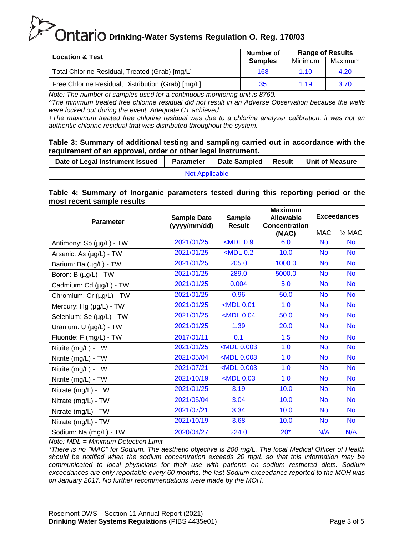| <b>Location &amp; Test</b>                         | Number of      | <b>Range of Results</b> |         |  |
|----------------------------------------------------|----------------|-------------------------|---------|--|
|                                                    | <b>Samples</b> | Minimum                 | Maximum |  |
| Total Chlorine Residual, Treated (Grab) [mg/L]     | 168            | 1.10                    | 4.20    |  |
| Free Chlorine Residual, Distribution (Grab) [mg/L] | 35             | 1.19                    | 3.70    |  |

*Note: The number of samples used for a continuous monitoring unit is 8760.*

*^The minimum treated free chlorine residual did not result in an Adverse Observation because the wells were locked out during the event. Adequate CT achieved.*

*+The maximum treated free chlorine residual was due to a chlorine analyzer calibration; it was not an authentic chlorine residual that was distributed throughout the system.*

#### **Table 3: Summary of additional testing and sampling carried out in accordance with the requirement of an approval, order or other legal instrument.**

| Date of Legal Instrument Issued | <b>Parameter</b> | Date Sampled | Result | <b>Unit of Measure</b> |
|---------------------------------|------------------|--------------|--------|------------------------|
|                                 |                  |              |        |                        |

#### **Table 4: Summary of Inorganic parameters tested during this reporting period or the most recent sample results**

| <b>Parameter</b>                                                       | <b>Sample Date</b><br>(yyyy/mm/dd) | <b>Sample</b><br><b>Result</b>                                              | <b>Maximum</b><br><b>Allowable</b><br><b>Concentration</b> | <b>Exceedances</b> |                   |  |
|------------------------------------------------------------------------|------------------------------------|-----------------------------------------------------------------------------|------------------------------------------------------------|--------------------|-------------------|--|
|                                                                        |                                    |                                                                             | (MAC)                                                      | <b>MAC</b>         | $\frac{1}{2}$ MAC |  |
| Antimony: Sb (µg/L) - TW                                               | 2021/01/25                         | $<$ MDL $0.9$                                                               | 6.0                                                        | <b>No</b>          | <b>No</b>         |  |
| Arsenic: As (µg/L) - TW                                                | 2021/01/25                         | $<$ MDL 0.2                                                                 | 10.0                                                       | <b>No</b>          | <b>No</b>         |  |
| Barium: Ba (µg/L) - TW                                                 | 2021/01/25                         | 205.0                                                                       | 1000.0                                                     | <b>No</b>          | <b>No</b>         |  |
| Boron: B (µg/L) - TW                                                   | 2021/01/25                         | 289.0                                                                       | 5000.0                                                     | <b>No</b>          | <b>No</b>         |  |
| Cadmium: Cd (µg/L) - TW                                                | 2021/01/25                         | 0.004                                                                       | 5.0                                                        | <b>No</b>          | <b>No</b>         |  |
| Chromium: Cr (µg/L) - TW                                               | 2021/01/25                         | 0.96                                                                        | 50.0                                                       | <b>No</b>          | <b>No</b>         |  |
| Mercury: Hg (µg/L) - TW                                                | 2021/01/25                         | <mdl 0.01<="" td=""><td>1.0</td><td><b>No</b></td><td><b>No</b></td></mdl>  | 1.0                                                        | <b>No</b>          | <b>No</b>         |  |
| Selenium: Se (µg/L) - TW                                               | 2021/01/25                         | $<$ MDL $0.04$                                                              | 50.0                                                       | <b>No</b>          | <b>No</b>         |  |
| Uranium: U (µg/L) - TW                                                 | 2021/01/25                         | 1.39                                                                        | 20.0                                                       | <b>No</b>          | <b>No</b>         |  |
| Fluoride: F (mg/L) - TW                                                | 2017/01/11                         | 0.1                                                                         | 1.5                                                        | <b>No</b>          | <b>No</b>         |  |
| Nitrite (mg/L) - TW                                                    | 2021/01/25                         | $MDL$ 0.003                                                                 | 1.0                                                        | <b>No</b>          | <b>No</b>         |  |
| Nitrite (mg/L) - TW                                                    | 2021/05/04                         | <mdl 0.003<="" td=""><td>1.0</td><td><b>No</b></td><td><b>No</b></td></mdl> | 1.0                                                        | <b>No</b>          | <b>No</b>         |  |
| Nitrite (mg/L) - TW                                                    | 2021/07/21                         | <mdl 0.003<="" td=""><td>1.0</td><td><b>No</b></td><td><b>No</b></td></mdl> | 1.0                                                        | <b>No</b>          | <b>No</b>         |  |
| Nitrite (mg/L) - TW                                                    | 2021/10/19                         | $<$ MDL 0.03                                                                | 1.0                                                        | <b>No</b>          | <b>No</b>         |  |
| Nitrate (mg/L) - TW                                                    | 2021/01/25                         | 3.19                                                                        | 10.0                                                       | <b>No</b>          | <b>No</b>         |  |
| Nitrate (mg/L) - TW                                                    | 2021/05/04                         | 3.04                                                                        | 10.0                                                       | <b>No</b>          | <b>No</b>         |  |
| Nitrate (mg/L) - TW                                                    | 2021/07/21                         | 3.34                                                                        | 10.0                                                       | <b>No</b>          | <b>No</b>         |  |
| Nitrate (mg/L) - TW                                                    | 2021/10/19                         | 3.68                                                                        | 10.0                                                       | <b>No</b>          | <b>No</b>         |  |
| Sodium: Na (mg/L) - TW<br>$Mots \cdot MDI = Minimum$ Detection $Limit$ | 2020/04/27                         | 224.0                                                                       | $20*$                                                      | N/A                | N/A               |  |

*Note: MDL = Minimum Detection Limit*

*\*There is no "MAC" for Sodium. The aesthetic objective is 200 mg/L. The local Medical Officer of Health should be notified when the sodium concentration exceeds 20 mg/L so that this information may be communicated to local physicians for their use with patients on sodium restricted diets. Sodium exceedances are only reportable every 60 months, the last Sodium exceedance reported to the MOH was on January 2017. No further recommendations were made by the MOH.*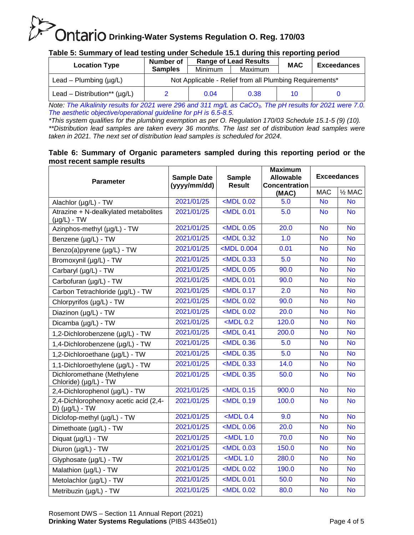#### **Table 5: Summary of lead testing under Schedule 15.1 during this reporting period**

|                                   | Number of                                               |         | <b>Range of Lead Results</b> | <b>MAC</b> | <b>Exceedances</b> |  |  |
|-----------------------------------|---------------------------------------------------------|---------|------------------------------|------------|--------------------|--|--|
| <b>Location Type</b>              | <b>Samples</b>                                          | Minimum | Maximum                      |            |                    |  |  |
| Lead – Plumbing $(\mu g/L)$       | Not Applicable - Relief from all Plumbing Requirements* |         |                              |            |                    |  |  |
| Lead – Distribution** $(\mu g/L)$ |                                                         | 0.04    | 0.38                         | 10         |                    |  |  |

*Note: The Alkalinity results for 2021 were 296 and 311 mg/L as CaCO3. The pH results for 2021 were 7.0. The aesthetic objective/operational guideline for pH is 6.5-8.5.*

*\*This system qualifies for the plumbing exemption as per O. Regulation 170/03 Schedule 15.1-5 (9) (10). \*\*Distribution lead samples are taken every 36 months. The last set of distribution lead samples were taken in 2021. The next set of distribution lead samples is scheduled for 2024.*

#### **Table 6: Summary of Organic parameters sampled during this reporting period or the most recent sample results**

| <b>Parameter</b>                                             | <b>Sample Date</b><br>(yyyy/mm/dd) | <b>Sample</b><br><b>Result</b>                                               | <b>Maximum</b><br><b>Allowable</b><br><b>Concentration</b> | <b>Exceedances</b> |                   |
|--------------------------------------------------------------|------------------------------------|------------------------------------------------------------------------------|------------------------------------------------------------|--------------------|-------------------|
|                                                              |                                    |                                                                              | (MAC)                                                      | <b>MAC</b>         | $\frac{1}{2}$ MAC |
| Alachlor (µg/L) - TW                                         | 2021/01/25                         | $<$ MDL $0.02$                                                               | 5.0                                                        | <b>No</b>          | <b>No</b>         |
| Atrazine + N-dealkylated metabolites<br>$(\mu g/L)$ - TW     | 2021/01/25                         | <mdl 0.01<="" td=""><td>5.0</td><td><b>No</b></td><td><b>No</b></td></mdl>   | 5.0                                                        | <b>No</b>          | <b>No</b>         |
| Azinphos-methyl (µg/L) - TW                                  | 2021/01/25                         | <mdl 0.05<="" td=""><td>20.0</td><td><b>No</b></td><td><b>No</b></td></mdl>  | 20.0                                                       | <b>No</b>          | <b>No</b>         |
| Benzene (µg/L) - TW                                          | 2021/01/25                         | $MDL$ 0.32                                                                   | 1.0                                                        | <b>No</b>          | <b>No</b>         |
| Benzo(a)pyrene (µg/L) - TW                                   | 2021/01/25                         | <mdl 0.004<="" td=""><td>0.01</td><td><b>No</b></td><td><b>No</b></td></mdl> | 0.01                                                       | <b>No</b>          | <b>No</b>         |
| Bromoxynil (µg/L) - TW                                       | 2021/01/25                         | $\sim$ MDL 0.33                                                              | 5.0                                                        | <b>No</b>          | <b>No</b>         |
| Carbaryl (µg/L) - TW                                         | 2021/01/25                         | $MDL$ 0.05                                                                   | 90.0                                                       | <b>No</b>          | <b>No</b>         |
| Carbofuran (µg/L) - TW                                       | 2021/01/25                         | <mdl 0.01<="" td=""><td>90.0</td><td><b>No</b></td><td><b>No</b></td></mdl>  | 90.0                                                       | <b>No</b>          | <b>No</b>         |
| Carbon Tetrachloride (µg/L) - TW                             | 2021/01/25                         | $<$ MDL 0.17                                                                 | 2.0                                                        | <b>No</b>          | <b>No</b>         |
| Chlorpyrifos (µg/L) - TW                                     | 2021/01/25                         | <mdl 0.02<="" td=""><td>90.0</td><td><b>No</b></td><td><b>No</b></td></mdl>  | 90.0                                                       | <b>No</b>          | <b>No</b>         |
| Diazinon (µg/L) - TW                                         | 2021/01/25                         | $<$ MDL $0.02$                                                               | 20.0                                                       | <b>No</b>          | <b>No</b>         |
| Dicamba (µg/L) - TW                                          | 2021/01/25                         | $<$ MDL 0.2                                                                  | 120.0                                                      | <b>No</b>          | <b>No</b>         |
| 1,2-Dichlorobenzene (µg/L) - TW                              | 2021/01/25                         | $<$ MDL 0.41                                                                 | 200.0                                                      | <b>No</b>          | <b>No</b>         |
| 1,4-Dichlorobenzene (µg/L) - TW                              | 2021/01/25                         | <mdl 0.36<="" td=""><td>5.0</td><td><b>No</b></td><td><b>No</b></td></mdl>   | 5.0                                                        | <b>No</b>          | <b>No</b>         |
| 1,2-Dichloroethane (µg/L) - TW                               | 2021/01/25                         | <mdl 0.35<="" td=""><td>5.0</td><td><b>No</b></td><td><b>No</b></td></mdl>   | 5.0                                                        | <b>No</b>          | <b>No</b>         |
| 1,1-Dichloroethylene (µg/L) - TW                             | 2021/01/25                         | $MDL$ 0.33                                                                   | 14.0                                                       | <b>No</b>          | <b>No</b>         |
| Dichloromethane (Methylene<br>Chloride) (µg/L) - TW          | 2021/01/25                         | <mdl 0.35<="" td=""><td>50.0</td><td><b>No</b></td><td><b>No</b></td></mdl>  | 50.0                                                       | <b>No</b>          | <b>No</b>         |
| 2,4-Dichlorophenol (µg/L) - TW                               | 2021/01/25                         | $MDL$ 0.15                                                                   | 900.0                                                      | <b>No</b>          | $\overline{N}$    |
| 2,4-Dichlorophenoxy acetic acid (2,4-<br>D) $(\mu g/L)$ - TW | 2021/01/25                         | <mdl 0.19<="" td=""><td>100.0</td><td><b>No</b></td><td><b>No</b></td></mdl> | 100.0                                                      | <b>No</b>          | <b>No</b>         |
| Diclofop-methyl (µg/L) - TW                                  | 2021/01/25                         | $<$ MDL 0.4                                                                  | 9.0                                                        | <b>No</b>          | $\overline{N}$    |
| Dimethoate (µg/L) - TW                                       | 2021/01/25                         | <mdl 0.06<="" td=""><td>20.0</td><td><b>No</b></td><td><b>No</b></td></mdl>  | 20.0                                                       | <b>No</b>          | <b>No</b>         |
| Diquat (µg/L) - TW                                           | 2021/01/25                         | $<$ MDL 1.0                                                                  | 70.0                                                       | <b>No</b>          | <b>No</b>         |
| Diuron (µg/L) - TW                                           | 2021/01/25                         | $MDL$ 0.03                                                                   | 150.0                                                      | <b>No</b>          | <b>No</b>         |
| Glyphosate (µg/L) - TW                                       | 2021/01/25                         | $<$ MDL 1.0                                                                  | 280.0                                                      | <b>No</b>          | <b>No</b>         |
| Malathion (µg/L) - TW                                        | 2021/01/25                         | <mdl 0.02<="" td=""><td>190.0</td><td><b>No</b></td><td><b>No</b></td></mdl> | 190.0                                                      | <b>No</b>          | <b>No</b>         |
| Metolachlor (µg/L) - TW                                      | 2021/01/25                         | <mdl 0.01<="" td=""><td>50.0</td><td><b>No</b></td><td><b>No</b></td></mdl>  | 50.0                                                       | <b>No</b>          | <b>No</b>         |
| Metribuzin (µg/L) - TW                                       | 2021/01/25                         | $<$ MDL $0.02$                                                               | 80.0                                                       | <b>No</b>          | <b>No</b>         |